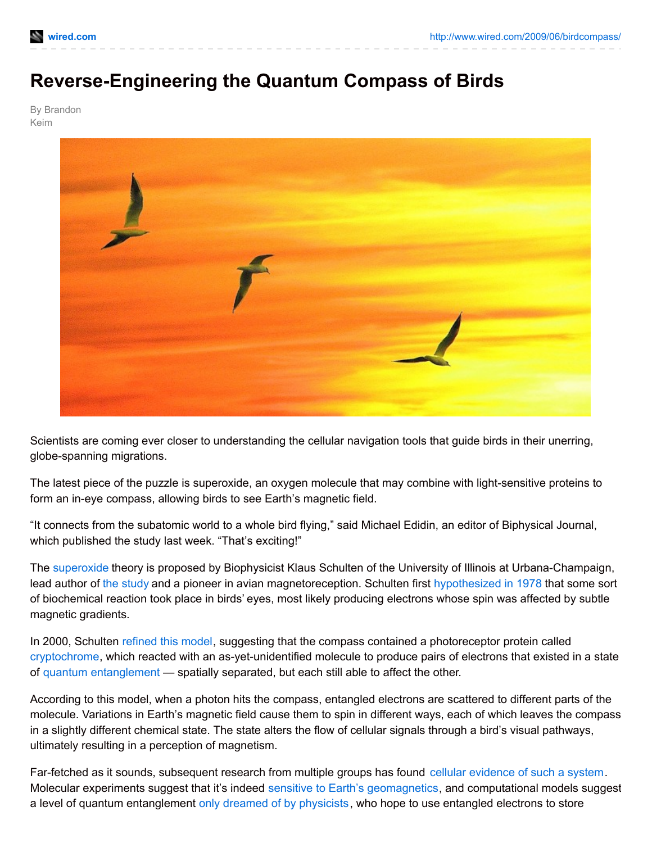## **Reverse-Engineering the Quantum Compass of Birds**

By Brandon Keim



Scientists are coming ever closer to understanding the cellular navigation tools that guide birds in their unerring, globe-spanning migrations.

The latest piece of the puzzle is superoxide, an oxygen molecule that may combine with light-sensitive proteins to form an in-eye compass, allowing birds to see Earth's magnetic field.

"It connects from the subatomic world to a whole bird flying," said Michael Edidin, an editor of Biphysical Journal, which published the study last week. "That's exciting!"

The [superoxide](http://en.wikipedia.org/wiki/Superoxide) theory is proposed by Biophysicist Klaus Schulten of the University of Illinois at Urbana-Champaign, lead author of the [study](http://www.cell.com/biophysj/abstract/S0006-3495(09)00777-2) and a pioneer in avian magnetoreception. Schulten first [hypothesized](http://www.ks.uiuc.edu/Publications/Papers/PDF/SCHU78C/SCHU78C.pdf) in 1978 that some sort of biochemical reaction took place in birds' eyes, most likely producing electrons whose spin was affected by subtle magnetic gradients.

In 2000, Schulten [refined](http://is.gd/1amRh) this model, suggesting that the compass contained a photoreceptor protein called [cryptochrome](http://en.wikipedia.org/wiki/Cryptochrome), which reacted with an as-yet-unidentified molecule to produce pairs of electrons that existed in a state of quantum [entanglement](http://en.wikipedia.org/wiki/Quantum_entanglement) — spatially separated, but each still able to affect the other.

According to this model, when a photon hits the compass, entangled electrons are scattered to different parts of the molecule. Variations in Earth's magnetic field cause them to spin in different ways, each of which leaves the compass in a slightly different chemical state. The state alters the flow of cellular signals through a bird's visual pathways, ultimately resulting in a perception of magnetism.

Far-fetched as it sounds, subsequent research from multiple groups has found cellular [evidence](http://is.gd/1an0K) of such a system. Molecular experiments suggest that it's indeed sensitive to Earth's [geomagnetics](http://www.nature.com/nature/journal/v453/n7193/abs/nature06834.html), and computational models suggest a level of quantum entanglement only dreamed of by [physicists](http://arxiv.org/abs/0906.3725), who hope to use entangled electrons to store